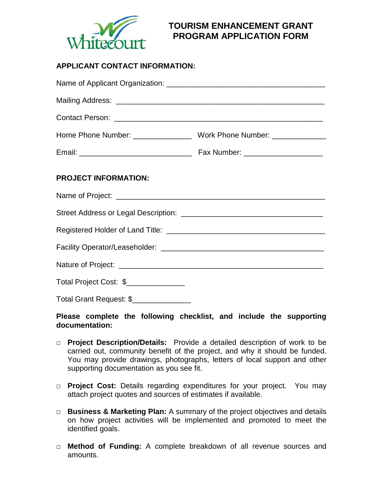

# **TOURISM ENHANCEMENT GRANT PROGRAM APPLICATION FORM**

## **APPLICANT CONTACT INFORMATION:**

| <b>PROJECT INFORMATION:</b>            |  |
|----------------------------------------|--|
|                                        |  |
|                                        |  |
|                                        |  |
|                                        |  |
|                                        |  |
| Total Project Cost: \$_______________  |  |
| Total Grant Request: \$_______________ |  |

## **Please complete the following checklist, and include the supporting documentation:**

- □ **Project Description/Details:** Provide a detailed description of work to be carried out, community benefit of the project, and why it should be funded. You may provide drawings, photographs, letters of local support and other supporting documentation as you see fit.
- □ **Project Cost:** Details regarding expenditures for your project. You may attach project quotes and sources of estimates if available.
- □ **Business & Marketing Plan:** A summary of the project objectives and details on how project activities will be implemented and promoted to meet the identified goals.
- □ **Method of Funding:** A complete breakdown of all revenue sources and amounts.